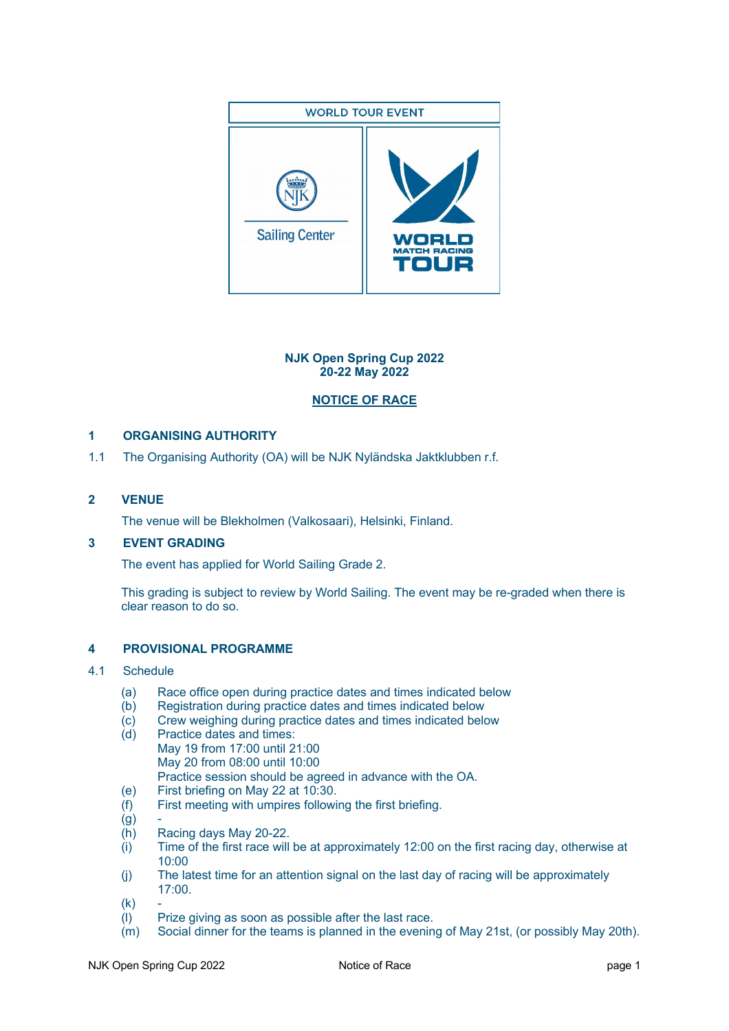

## **NJK Open Spring Cup 2022 20-22 May 2022**

# **NOTICE OF RACE**

# **1 ORGANISING AUTHORITY**

1.1 The Organising Authority (OA) will be NJK Nyländska Jaktklubben r.f.

## **2 VENUE**

The venue will be Blekholmen (Valkosaari), Helsinki, Finland.

## **3 EVENT GRADING**

The event has applied for World Sailing Grade 2.

This grading is subject to review by World Sailing. The event may be re-graded when there is clear reason to do so.

## **4 PROVISIONAL PROGRAMME**

## 4.1 Schedule

- (a) Race office open during practice dates and times indicated below<br>(b) Registration during practice dates and times indicated below
- Registration during practice dates and times indicated below
- (c) Crew weighing during practice dates and times indicated below
- (d) Practice dates and times: May 19 from 17:00 until 21:00 May 20 from 08:00 until 10:00 Practice session should be agreed in advance with the OA.
- (e) First briefing on May 22 at 10:30.
- (f) First meeting with umpires following the first briefing.
- $(g)$
- (h) Racing days May 20-22.
- (i) Time of the first race will be at approximately 12:00 on the first racing day, otherwise at 10:00
- (j) The latest time for an attention signal on the last day of racing will be approximately 17:00.
- $(k)$
- (l) Prize giving as soon as possible after the last race.
- (m) Social dinner for the teams is planned in the evening of May 21st, (or possibly May 20th).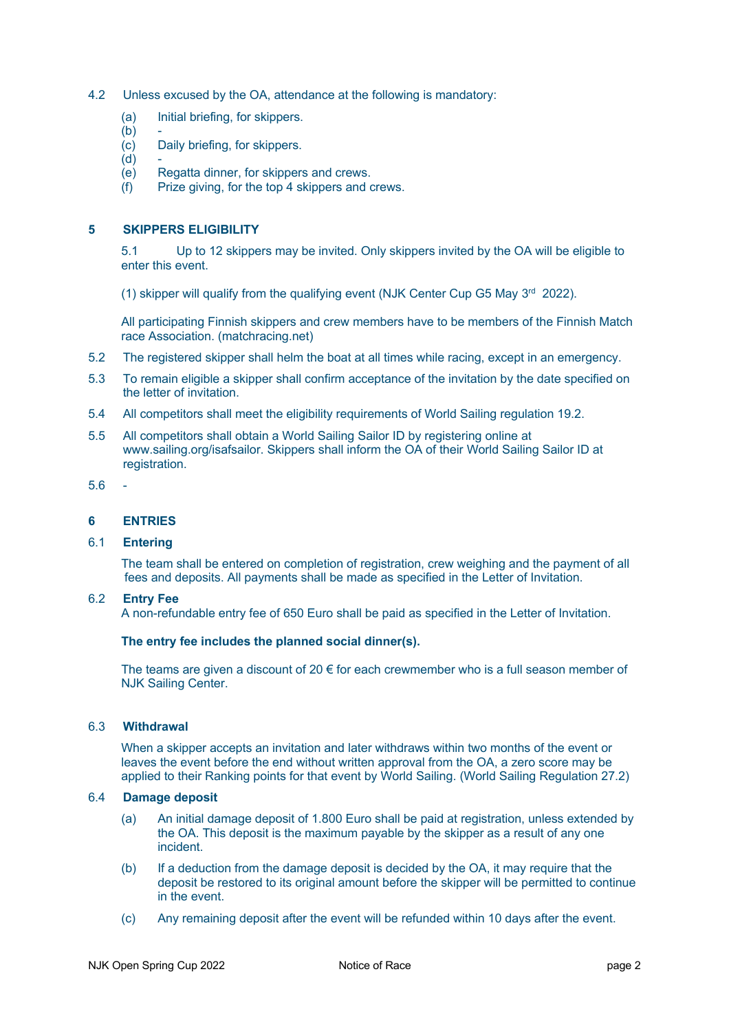- 4.2 Unless excused by the OA, attendance at the following is mandatory:
	- (a) Initial briefing, for skippers.
	- $(b)$
	- (c) Daily briefing, for skippers.
	- $(d)$
	- (e) Regatta dinner, for skippers and crews.
	- (f) Prize giving, for the top 4 skippers and crews.

### **5 SKIPPERS ELIGIBILITY**

5.1 Up to 12 skippers may be invited. Only skippers invited by the OA will be eligible to enter this event.

(1) skipper will qualify from the qualifying event (NJK Center Cup G5 May  $3<sup>rd</sup>$  2022).

All participating Finnish skippers and crew members have to be members of the Finnish Match race Association. (matchracing.net)

- 5.2 The registered skipper shall helm the boat at all times while racing, except in an emergency.
- 5.3 To remain eligible a skipper shall confirm acceptance of the invitation by the date specified on the letter of invitation.
- 5.4 All competitors shall meet the eligibility requirements of World Sailing regulation 19.2.
- 5.5 All competitors shall obtain a World Sailing Sailor ID by registering online at www.sailing.org/isafsailor. Skippers shall inform the OA of their World Sailing Sailor ID at registration.
- $5.6$

### **6 ENTRIES**

### 6.1 **Entering**

The team shall be entered on completion of registration, crew weighing and the payment of all fees and deposits. All payments shall be made as specified in the Letter of Invitation.

### 6.2 **Entry Fee**

A non-refundable entry fee of 650 Euro shall be paid as specified in the Letter of Invitation.

#### **The entry fee includes the planned social dinner(s).**

The teams are given a discount of 20  $\epsilon$  for each crewmember who is a full season member of NJK Sailing Center.

### 6.3 **Withdrawal**

When a skipper accepts an invitation and later withdraws within two months of the event or leaves the event before the end without written approval from the OA, a zero score may be applied to their Ranking points for that event by World Sailing. (World Sailing Regulation 27.2)

### 6.4 **Damage deposit**

- (a) An initial damage deposit of 1.800 Euro shall be paid at registration, unless extended by the OA. This deposit is the maximum payable by the skipper as a result of any one incident.
- (b) If a deduction from the damage deposit is decided by the OA, it may require that the deposit be restored to its original amount before the skipper will be permitted to continue in the event.
- (c) Any remaining deposit after the event will be refunded within 10 days after the event.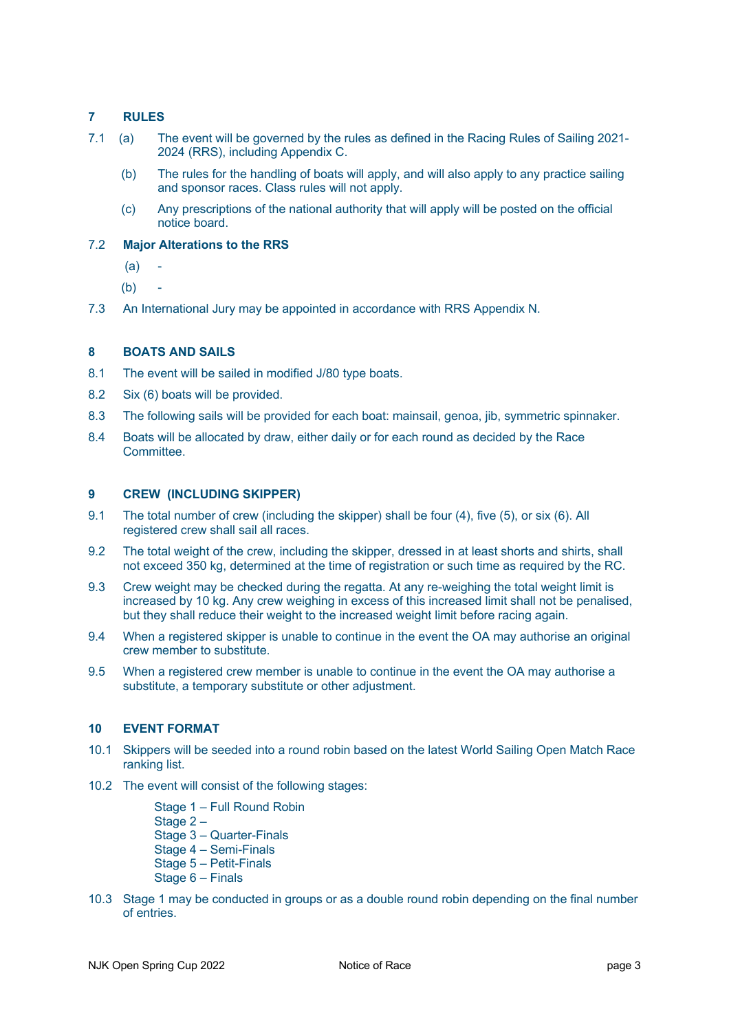## **7 RULES**

- 7.1 (a) The event will be governed by the rules as defined in the Racing Rules of Sailing 2021- 2024 (RRS), including Appendix C.
	- (b) The rules for the handling of boats will apply, and will also apply to any practice sailing and sponsor races. Class rules will not apply.
	- (c) Any prescriptions of the national authority that will apply will be posted on the official notice board.

### 7.2 **Major Alterations to the RRS**

- $(a)$
- (b) -
- 7.3 An International Jury may be appointed in accordance with RRS Appendix N.

## **8 BOATS AND SAILS**

- 8.1 The event will be sailed in modified J/80 type boats.
- 8.2 Six (6) boats will be provided.
- 8.3 The following sails will be provided for each boat: mainsail, genoa, jib, symmetric spinnaker.
- 8.4 Boats will be allocated by draw, either daily or for each round as decided by the Race **Committee**

### **9 CREW (INCLUDING SKIPPER)**

- 9.1 The total number of crew (including the skipper) shall be four (4), five (5), or six (6). All registered crew shall sail all races.
- 9.2 The total weight of the crew, including the skipper, dressed in at least shorts and shirts, shall not exceed 350 kg, determined at the time of registration or such time as required by the RC.
- 9.3 Crew weight may be checked during the regatta. At any re-weighing the total weight limit is increased by 10 kg. Any crew weighing in excess of this increased limit shall not be penalised, but they shall reduce their weight to the increased weight limit before racing again.
- 9.4 When a registered skipper is unable to continue in the event the OA may authorise an original crew member to substitute.
- 9.5 When a registered crew member is unable to continue in the event the OA may authorise a substitute, a temporary substitute or other adjustment.

## **10 EVENT FORMAT**

- 10.1 Skippers will be seeded into a round robin based on the latest World Sailing Open Match Race ranking list.
- 10.2 The event will consist of the following stages:
	- Stage 1 Full Round Robin
	- Stage 2-
	- Stage 3 Quarter-Finals
	- Stage 4 Semi-Finals
	- Stage 5 Petit-Finals
	- Stage 6 Finals
- 10.3 Stage 1 may be conducted in groups or as a double round robin depending on the final number of entries.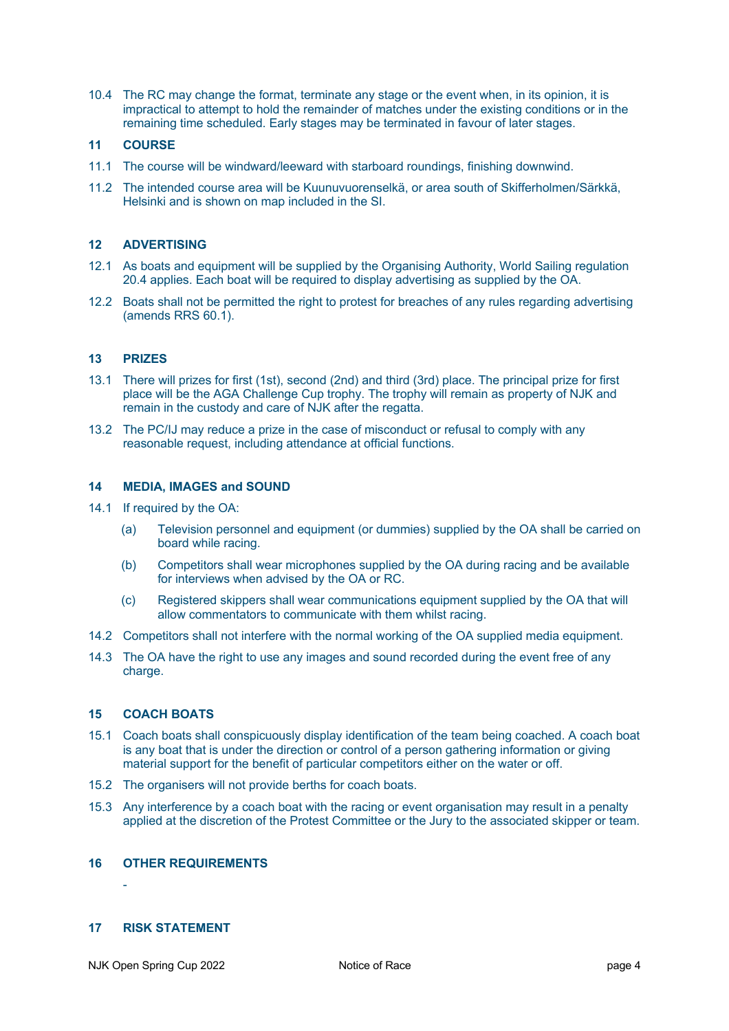10.4 The RC may change the format, terminate any stage or the event when, in its opinion, it is impractical to attempt to hold the remainder of matches under the existing conditions or in the remaining time scheduled. Early stages may be terminated in favour of later stages.

#### **11 COURSE**

- 11.1 The course will be windward/leeward with starboard roundings, finishing downwind.
- 11.2 The intended course area will be Kuunuvuorenselkä, or area south of Skifferholmen/Särkkä, Helsinki and is shown on map included in the SI.

#### **12 ADVERTISING**

- 12.1 As boats and equipment will be supplied by the Organising Authority, World Sailing regulation 20.4 applies. Each boat will be required to display advertising as supplied by the OA.
- 12.2 Boats shall not be permitted the right to protest for breaches of any rules regarding advertising (amends RRS 60.1).

#### **13 PRIZES**

- 13.1 There will prizes for first (1st), second (2nd) and third (3rd) place. The principal prize for first place will be the AGA Challenge Cup trophy. The trophy will remain as property of NJK and remain in the custody and care of NJK after the regatta.
- 13.2 The PC/IJ may reduce a prize in the case of misconduct or refusal to comply with any reasonable request, including attendance at official functions.

#### **14 MEDIA, IMAGES and SOUND**

- 14.1 If required by the OA:
	- (a) Television personnel and equipment (or dummies) supplied by the OA shall be carried on board while racing.
	- (b) Competitors shall wear microphones supplied by the OA during racing and be available for interviews when advised by the OA or RC.
	- (c) Registered skippers shall wear communications equipment supplied by the OA that will allow commentators to communicate with them whilst racing.
- 14.2 Competitors shall not interfere with the normal working of the OA supplied media equipment.
- 14.3 The OA have the right to use any images and sound recorded during the event free of any charge.

#### **15 COACH BOATS**

- 15.1 Coach boats shall conspicuously display identification of the team being coached. A coach boat is any boat that is under the direction or control of a person gathering information or giving material support for the benefit of particular competitors either on the water or off.
- 15.2 The organisers will not provide berths for coach boats.
- 15.3 Any interference by a coach boat with the racing or event organisation may result in a penalty applied at the discretion of the Protest Committee or the Jury to the associated skipper or team.

#### **16 OTHER REQUIREMENTS**

#### **17 RISK STATEMENT**

-